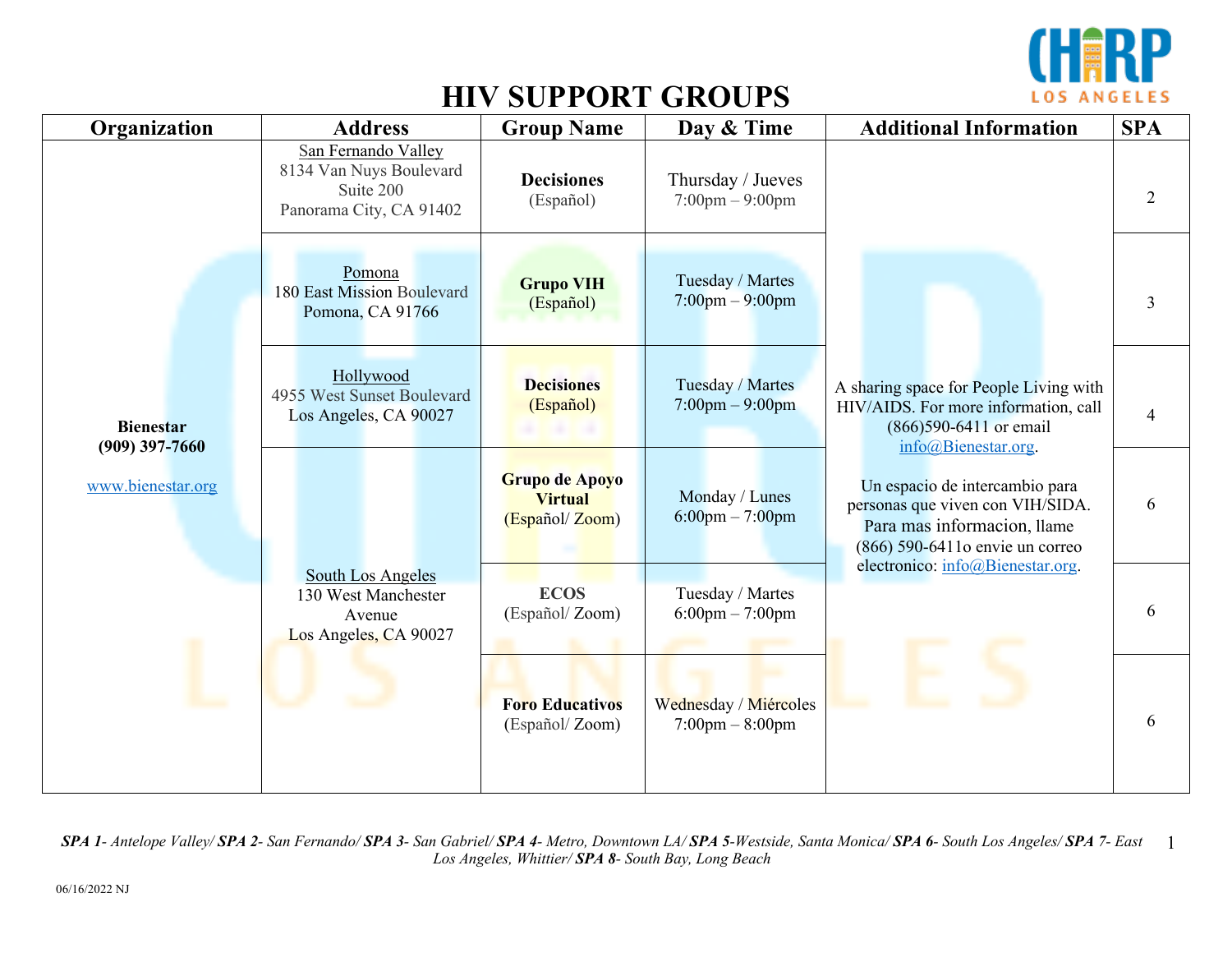

| Organization                                              | <b>Address</b>                                                                         | <b>Group Name</b>                                  | Day & Time                                             | <b>Additional Information</b>                                                                                                         | <b>SPA</b>     |
|-----------------------------------------------------------|----------------------------------------------------------------------------------------|----------------------------------------------------|--------------------------------------------------------|---------------------------------------------------------------------------------------------------------------------------------------|----------------|
| <b>Bienestar</b><br>$(909)$ 397-7660<br>www.bienestar.org | San Fernando Valley<br>8134 Van Nuys Boulevard<br>Suite 200<br>Panorama City, CA 91402 | <b>Decisiones</b><br>(Español)                     | Thursday / Jueves<br>$7:00 \text{pm} - 9:00 \text{pm}$ | A sharing space for People Living with<br>HIV/AIDS. For more information, call<br>(866) 590-6411 or email<br>info@Bienestar.org.      | $\overline{2}$ |
|                                                           | Pomona<br>180 East Mission Boulevard<br>Pomona, CA 91766                               | <b>Grupo VIH</b><br>(Español)                      | Tuesday / Martes<br>$7:00$ pm $-9:00$ pm               |                                                                                                                                       | $\overline{3}$ |
|                                                           | Hollywood<br>4955 West Sunset Boulevard<br>Los Angeles, CA 90027                       | <b>Decisiones</b><br>(Español)                     | Tuesday / Martes<br>$7:00 \text{pm} - 9:00 \text{pm}$  |                                                                                                                                       | $\overline{4}$ |
|                                                           |                                                                                        | Grupo de Apoyo<br><b>Virtual</b><br>(Español/Zoom) | Monday / Lunes<br>$6:00$ pm $-7:00$ pm                 | Un espacio de intercambio para<br>personas que viven con VIH/SIDA.<br>Para mas informacion, llame<br>(866) 590-6411 o envie un correo | 6              |
|                                                           | <b>South Los Angeles</b><br>130 West Manchester<br>Avenue<br>Los Angeles, CA 90027     | <b>ECOS</b><br>(Español/Zoom)                      | Tuesday / Martes<br>$6:00$ pm $-7:00$ pm               | electronico: info@Bienestar.org.                                                                                                      | 6              |
|                                                           |                                                                                        | <b>Foro Educativos</b><br>(Español/Zoom)           | Wednesday / Miércoles<br>$7:00$ pm $-8:00$ pm          |                                                                                                                                       | 6              |

SPA 1- Antelope Valley/ SPA 2- San Fernando/ SPA 3- San Gabriel/ SPA 4- Metro, Downtown LA/ SPA 5-Westside, Santa Monica/ SPA 6- South Los Angeles/ SPA 7- East 1 *Los Angeles, Whittier/ SPA 8- South Bay, Long Beach*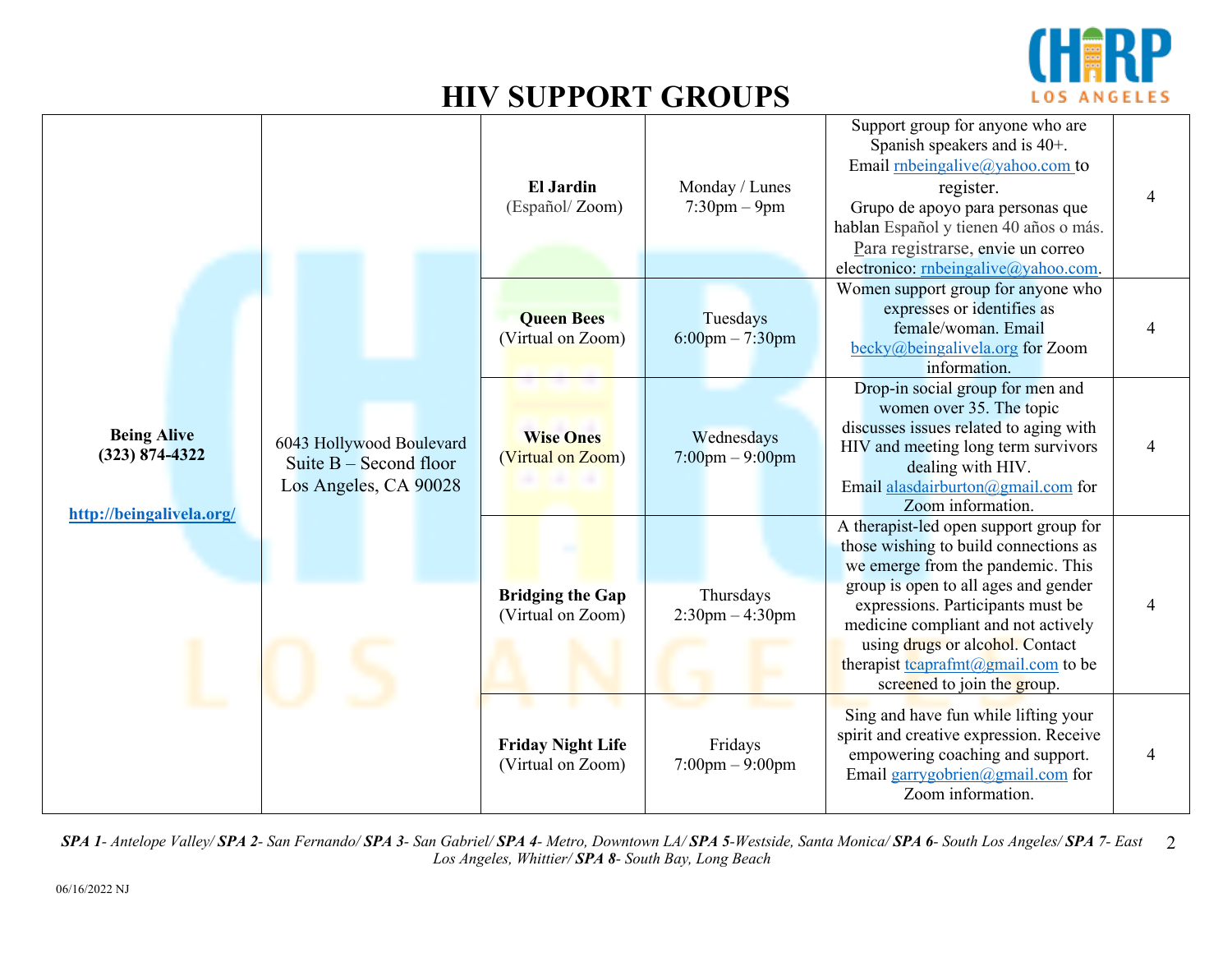

|                                                                      |                                                                               | <b>El Jardin</b><br>(Español/Zoom)            | Monday / Lunes<br>$7:30$ pm $-9$ pm          | Support group for anyone who are<br>Spanish speakers and is 40+.<br>Email rnbeingalive@yahoo.com to<br>register.<br>Grupo de apoyo para personas que<br>hablan Español y tienen 40 años o más.<br>Para registrarse, envie un correo<br>electronico: rnbeingalive@yahoo.com.                                                                                                               |  |
|----------------------------------------------------------------------|-------------------------------------------------------------------------------|-----------------------------------------------|----------------------------------------------|-------------------------------------------------------------------------------------------------------------------------------------------------------------------------------------------------------------------------------------------------------------------------------------------------------------------------------------------------------------------------------------------|--|
|                                                                      |                                                                               | <b>Queen Bees</b><br>(Virtual on Zoom)        | Tuesdays<br>$6:00$ pm $-7:30$ pm             | Women support group for anyone who<br>expresses or identifies as<br>female/woman. Email<br>$\frac{\text{becky}(a)\text{beingalivela.org}}{c}$ for Zoom<br>information.                                                                                                                                                                                                                    |  |
| <b>Being Alive</b><br>$(323) 874 - 4322$<br>http://beingalivela.org/ | 6043 Hollywood Boulevard<br>Suite $B -$ Second floor<br>Los Angeles, CA 90028 | <b>Wise Ones</b><br>(Virtual on Zoom)         | Wednesdays<br>$7:00$ pm $-9:00$ pm           | Drop-in social group for men and<br>women over 35. The topic<br>discusses issues related to aging with<br>HIV and meeting long term survivors<br>dealing with HIV.<br>Email alasdairburton@gmail.com for<br>Zoom information.                                                                                                                                                             |  |
|                                                                      |                                                                               | <b>Bridging the Gap</b><br>(Virtual on Zoom)  | Thursdays<br>$2:30$ pm $-4:30$ pm            | A therapist-led open support group for<br>those wishing to build connections as<br>we emerge from the pandemic. This<br>group is open to all ages and gender<br>expressions. Participants must be<br>medicine compliant and not actively<br>using drugs or alcohol. Contact<br>therapist $\frac{t \cdot \text{capram}(a)}{t \cdot \text{capram}(a)}$ to be<br>screened to join the group. |  |
|                                                                      |                                                                               | <b>Friday Night Life</b><br>(Virtual on Zoom) | Fridays<br>$7:00 \text{pm} - 9:00 \text{pm}$ | Sing and have fun while lifting your<br>spirit and creative expression. Receive<br>empowering coaching and support.<br>Email garrygobrien@gmail.com for<br>Zoom information.                                                                                                                                                                                                              |  |

SPA 1- Antelope Valley/ SPA 2- San Fernando/ SPA 3- San Gabriel/ SPA 4- Metro, Downtown LA/ SPA 5-Westside, Santa Monica/ SPA 6- South Los Angeles/ SPA 7- East 2 *Los Angeles, Whittier/ SPA 8- South Bay, Long Beach*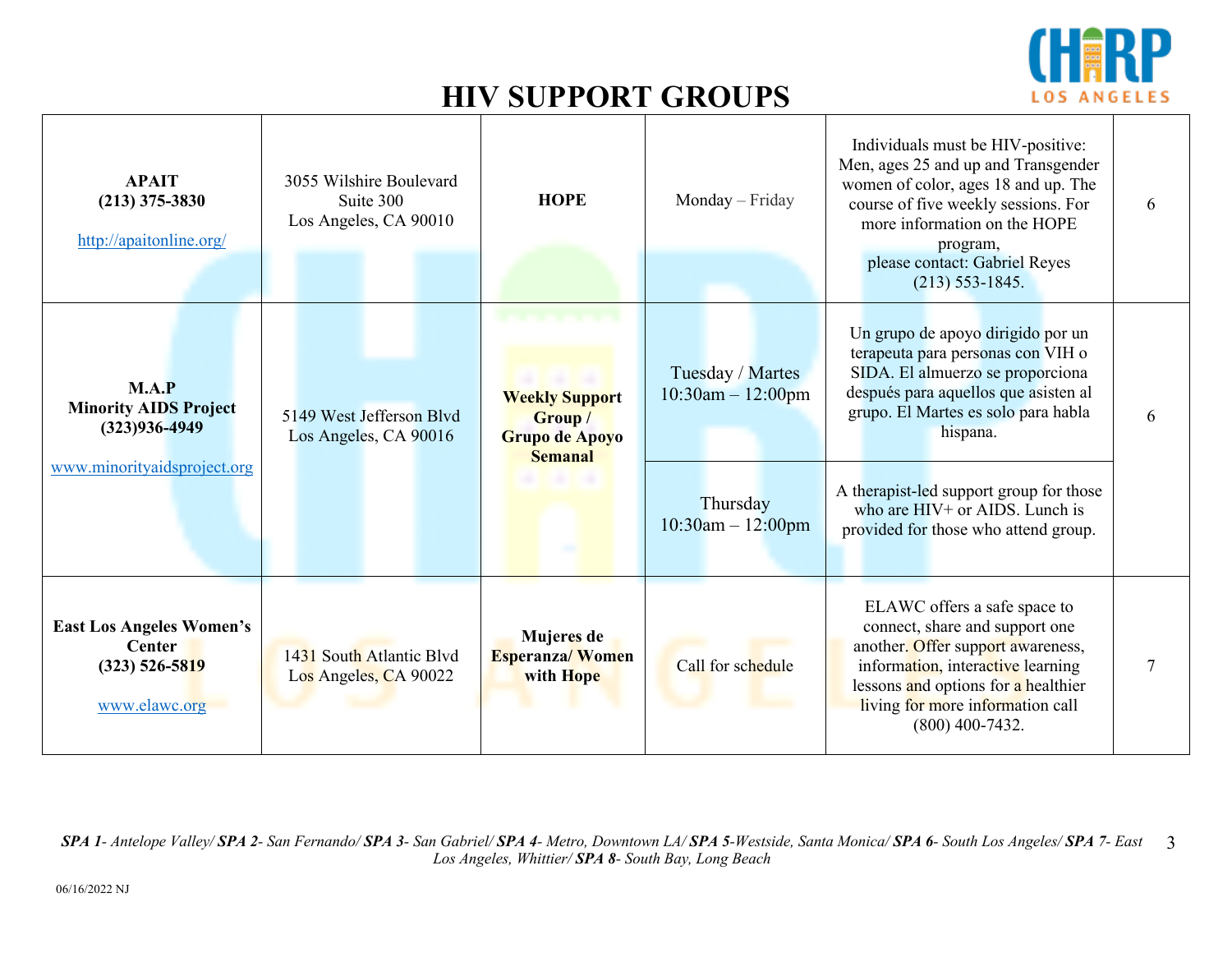

| <b>APAIT</b><br>$(213)$ 375-3830<br>http://apaitonline.org/                               | 3055 Wilshire Boulevard<br>Suite 300<br>Los Angeles, CA 90010 | <b>HOPE</b>                                                          | Monday - Friday                                                                    | Individuals must be HIV-positive:<br>Men, ages 25 and up and Transgender<br>women of color, ages 18 and up. The<br>course of five weekly sessions. For<br>more information on the HOPE<br>program,<br>please contact: Gabriel Reyes<br>$(213)$ 553-1845.                                                                     | 6 |
|-------------------------------------------------------------------------------------------|---------------------------------------------------------------|----------------------------------------------------------------------|------------------------------------------------------------------------------------|------------------------------------------------------------------------------------------------------------------------------------------------------------------------------------------------------------------------------------------------------------------------------------------------------------------------------|---|
| M.A.P<br><b>Minority AIDS Project</b><br>$(323)936 - 4949$<br>www.minorityaidsproject.org | 5149 West Jefferson Blyd<br>Los Angeles, CA 90016             | <b>Weekly Support</b><br>Group /<br>Grupo de Apoyo<br><b>Semanal</b> | Tuesday / Martes<br>$10:30$ am $- 12:00$ pm<br>Thursday<br>$10:30$ am $- 12:00$ pm | Un grupo de apoyo dirigido por un<br>terapeuta para personas con VIH o<br>SIDA. El almuerzo se proporciona<br>después para aquellos que asisten al<br>grupo. El Martes es solo para habla<br>hispana.<br>A therapist-led support group for those<br>who are $HIV+$ or AIDS. Lunch is<br>provided for those who attend group. | 6 |
|                                                                                           |                                                               |                                                                      |                                                                                    |                                                                                                                                                                                                                                                                                                                              |   |
| <b>East Los Angeles Women's</b><br><b>Center</b><br>$(323)$ 526-5819<br>www.elawc.org     | 1431 South Atlantic Blyd<br>Los Angeles, CA 90022             | Mujeres de<br><b>Esperanza/Women</b><br>with Hope                    | Call for schedule                                                                  | ELAWC offers a safe space to<br>connect, share and support one<br>another. Offer support awareness,<br>information, interactive learning<br>lessons and options for a healthier<br>living for more information call<br>$(800)$ 400-7432.                                                                                     | 7 |

SPA 1- Antelope Valley/ SPA 2- San Fernando/ SPA 3- San Gabriel/ SPA 4- Metro, Downtown LA/ SPA 5-Westside, Santa Monica/ SPA 6- South Los Angeles/ SPA 7- East 3 *Los Angeles, Whittier/ SPA 8- South Bay, Long Beach*